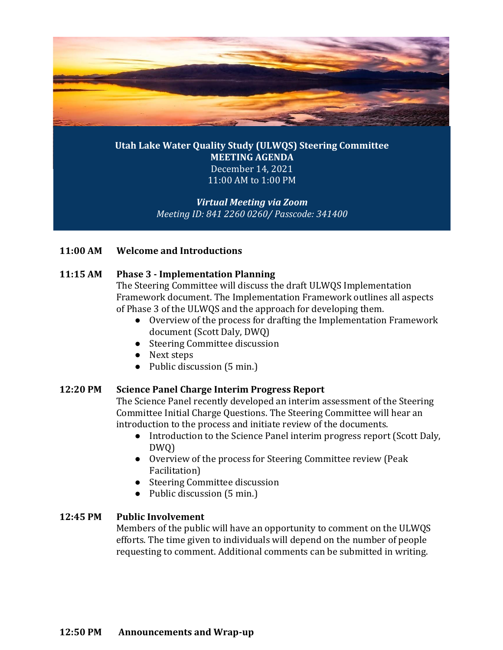

# **Utah Lake Water Quality Study (ULWQS) Steering Committee MEETING AGENDA** December 14, 2021 11:00 AM to 1:00 PM

# *Virtual Meeting via Zoom Meeting ID: 841 2260 0260/ Passcode: 341400*

### **11:00 AM Welcome and Introductions**

### **11:15 AM Phase 3 - Implementation Planning**

The Steering Committee will discuss the draft ULWQS Implementation Framework document. The Implementation Framework outlines all aspects of Phase 3 of the ULWQS and the approach for developing them.

- Overview of the process for drafting the Implementation Framework document (Scott Daly, DWQ)
- Steering Committee discussion
- Next steps
- Public discussion (5 min.)

### **12:20 PM Science Panel Charge Interim Progress Report**

The Science Panel recently developed an interim assessment of the Steering Committee Initial Charge Questions. The Steering Committee will hear an introduction to the process and initiate review of the documents.

- Introduction to the Science Panel interim progress report (Scott Daly, DWQ)
- Overview of the process for Steering Committee review (Peak Facilitation)
- Steering Committee discussion
- Public discussion (5 min.)

# **12:45 PM Public Involvement**

Members of the public will have an opportunity to comment on the ULWQS efforts. The time given to individuals will depend on the number of people requesting to comment. Additional comments can be submitted in writing.